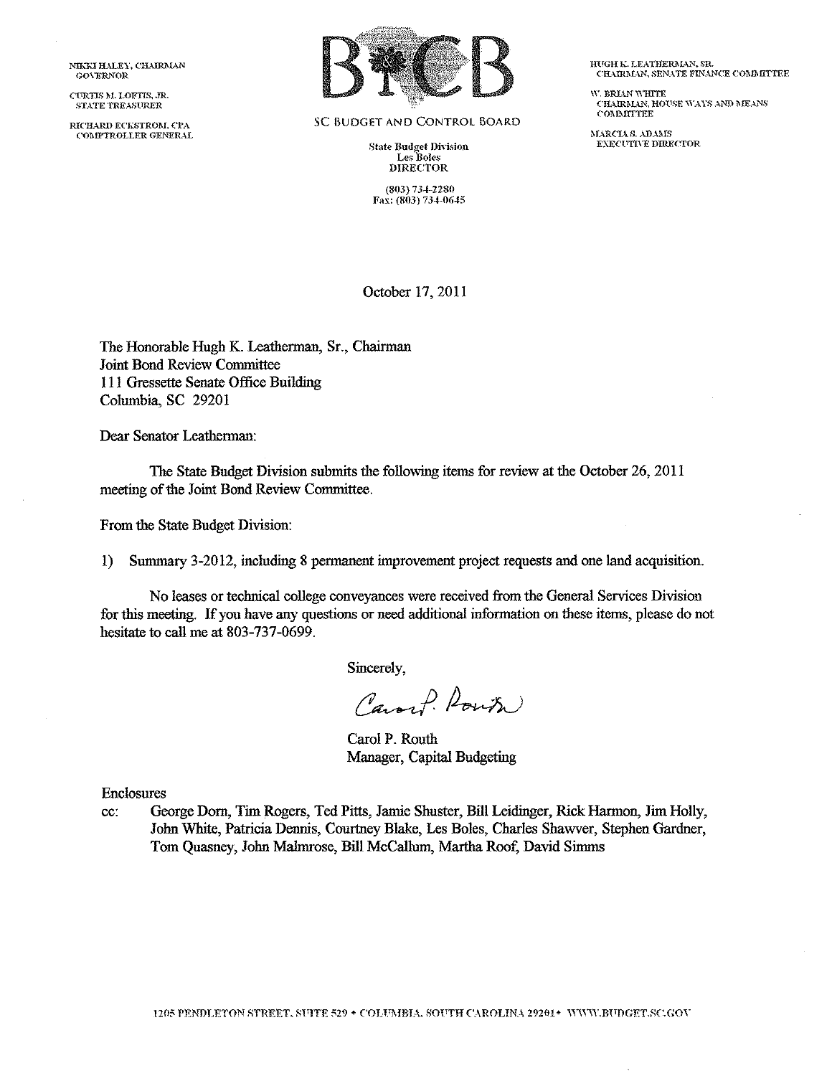NIKKI HALEY, CHAIRMAN GO\'ERNOR

CURTIS M. LOFTIS, JR. STATE TREAStlRER

RICHARD ECKSTROM, CPA ('OMPTROLLER GENERAL



SC BUDGET AND CONTROL BOARD

**State Budget Division** Les Boles DIRECTOR

(803) 734-2280 Fax:  $(803)$  734-0645 HUGH K. LEATHERMAN, SR. CHAIRMAN, SENATE FINANCE COMMITTEE

 $\mathbf W$ . BRLAN  $\mathbf W$ HITE  $\tt{CHARMAN},$  HOUSE WAYS AND MEANS **COMMITTEE** 

**MARCLAS ADAMS** EXECUTIVE DIRECTOR

October 17, 2011

The Honorable Hugh K. Leatherman, Sr., Chairman Joint Bond Review Committee Ill Gressette Senate Office Building Columbia, SC 29201

Dear Senator Leatherman:

The State Budget Division submits the following items for review at the October 26, 2011 meeting of the Joint Bond Review Committee.

From the State Budget Division:

1) Summary 3-2012, including 8 permanent improvement project requests and one land acquisition.

No leases or technical college conveyances were received from the General Services Division for this meeting. If you have any questions or need additional information on these items, please do not hesitate to call me at 803-737-0699.

Sincerely,

Caroch Route

Carol P. Routh Manager, Capital Budgeting

Enclosures

cc: George Dorn, Tim Rogers, Ted Pitts, Jamie Shuster, Bill Leidinger, Rick Harmon, Jim Holly, John White, Patricia Dennis, Courtney Blake, Les Boles, Charles Shawver, Stephen Gardner, Tom Quasney, John Malmrose, Bill McCallum, Martha Roof, David Simms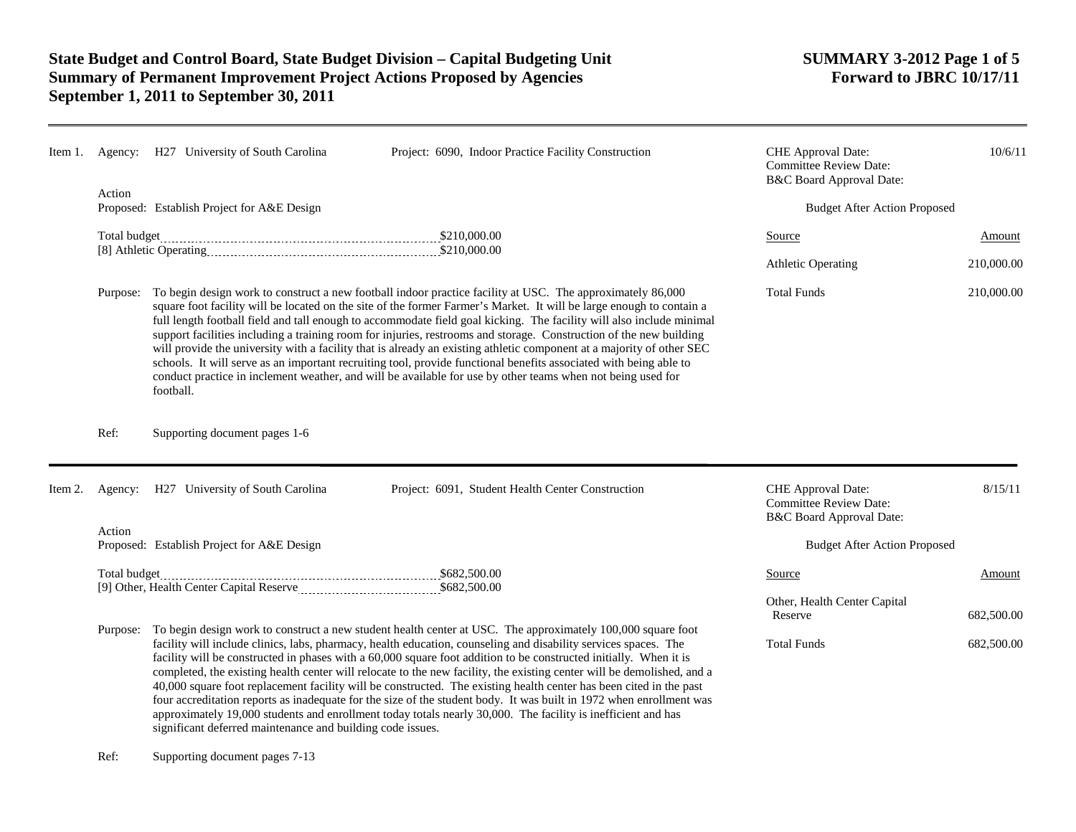| Item 1. |                                                      | Agency: H27 University of South Carolina                                                                                                                                                                                                                                                                                                                                                                                                                                                                                                                                                                                                                                                                                                                                                                                                                   | Project: 6090, Indoor Practice Facility Construction                                                                                                                                                                                                                                                                                                                                                                                                                                                                                                                                                                                                                                                                                                                                                                                       | CHE Approval Date:<br><b>Committee Review Date:</b><br>B&C Board Approval Date: | 10/6/11                  |
|---------|------------------------------------------------------|------------------------------------------------------------------------------------------------------------------------------------------------------------------------------------------------------------------------------------------------------------------------------------------------------------------------------------------------------------------------------------------------------------------------------------------------------------------------------------------------------------------------------------------------------------------------------------------------------------------------------------------------------------------------------------------------------------------------------------------------------------------------------------------------------------------------------------------------------------|--------------------------------------------------------------------------------------------------------------------------------------------------------------------------------------------------------------------------------------------------------------------------------------------------------------------------------------------------------------------------------------------------------------------------------------------------------------------------------------------------------------------------------------------------------------------------------------------------------------------------------------------------------------------------------------------------------------------------------------------------------------------------------------------------------------------------------------------|---------------------------------------------------------------------------------|--------------------------|
|         | Action<br>Proposed: Establish Project for A&E Design |                                                                                                                                                                                                                                                                                                                                                                                                                                                                                                                                                                                                                                                                                                                                                                                                                                                            |                                                                                                                                                                                                                                                                                                                                                                                                                                                                                                                                                                                                                                                                                                                                                                                                                                            | <b>Budget After Action Proposed</b>                                             |                          |
|         |                                                      |                                                                                                                                                                                                                                                                                                                                                                                                                                                                                                                                                                                                                                                                                                                                                                                                                                                            |                                                                                                                                                                                                                                                                                                                                                                                                                                                                                                                                                                                                                                                                                                                                                                                                                                            | Source                                                                          | Amount                   |
|         |                                                      |                                                                                                                                                                                                                                                                                                                                                                                                                                                                                                                                                                                                                                                                                                                                                                                                                                                            |                                                                                                                                                                                                                                                                                                                                                                                                                                                                                                                                                                                                                                                                                                                                                                                                                                            | <b>Athletic Operating</b>                                                       | 210,000.00               |
|         | Purpose:                                             | To begin design work to construct a new football indoor practice facility at USC. The approximately 86,000<br>square foot facility will be located on the site of the former Farmer's Market. It will be large enough to contain a<br>full length football field and tall enough to accommodate field goal kicking. The facility will also include minimal<br>support facilities including a training room for injuries, restrooms and storage. Construction of the new building<br>will provide the university with a facility that is already an existing athletic component at a majority of other SEC<br>schools. It will serve as an important recruiting tool, provide functional benefits associated with being able to<br>conduct practice in inclement weather, and will be available for use by other teams when not being used for<br>football. | <b>Total Funds</b>                                                                                                                                                                                                                                                                                                                                                                                                                                                                                                                                                                                                                                                                                                                                                                                                                         | 210,000.00                                                                      |                          |
|         | Ref:                                                 | Supporting document pages 1-6                                                                                                                                                                                                                                                                                                                                                                                                                                                                                                                                                                                                                                                                                                                                                                                                                              |                                                                                                                                                                                                                                                                                                                                                                                                                                                                                                                                                                                                                                                                                                                                                                                                                                            |                                                                                 |                          |
| Item 2. | Agency:                                              | H27 University of South Carolina                                                                                                                                                                                                                                                                                                                                                                                                                                                                                                                                                                                                                                                                                                                                                                                                                           | Project: 6091, Student Health Center Construction                                                                                                                                                                                                                                                                                                                                                                                                                                                                                                                                                                                                                                                                                                                                                                                          | CHE Approval Date:<br><b>Committee Review Date:</b><br>B&C Board Approval Date: | 8/15/11                  |
|         | Action                                               | Proposed: Establish Project for A&E Design                                                                                                                                                                                                                                                                                                                                                                                                                                                                                                                                                                                                                                                                                                                                                                                                                 |                                                                                                                                                                                                                                                                                                                                                                                                                                                                                                                                                                                                                                                                                                                                                                                                                                            | <b>Budget After Action Proposed</b>                                             |                          |
|         |                                                      |                                                                                                                                                                                                                                                                                                                                                                                                                                                                                                                                                                                                                                                                                                                                                                                                                                                            |                                                                                                                                                                                                                                                                                                                                                                                                                                                                                                                                                                                                                                                                                                                                                                                                                                            | Source<br>Other, Health Center Capital                                          | Amount                   |
|         | Purpose:                                             | significant deferred maintenance and building code issues.                                                                                                                                                                                                                                                                                                                                                                                                                                                                                                                                                                                                                                                                                                                                                                                                 | To begin design work to construct a new student health center at USC. The approximately 100,000 square foot<br>facility will include clinics, labs, pharmacy, health education, counseling and disability services spaces. The<br>facility will be constructed in phases with a 60,000 square foot addition to be constructed initially. When it is<br>completed, the existing health center will relocate to the new facility, the existing center will be demolished, and a<br>40,000 square foot replacement facility will be constructed. The existing health center has been cited in the past<br>four accreditation reports as inadequate for the size of the student body. It was built in 1972 when enrollment was<br>approximately 19,000 students and enrollment today totals nearly 30,000. The facility is inefficient and has | Reserve<br><b>Total Funds</b>                                                   | 682,500.00<br>682,500.00 |

Ref: Supporting document pages 7-13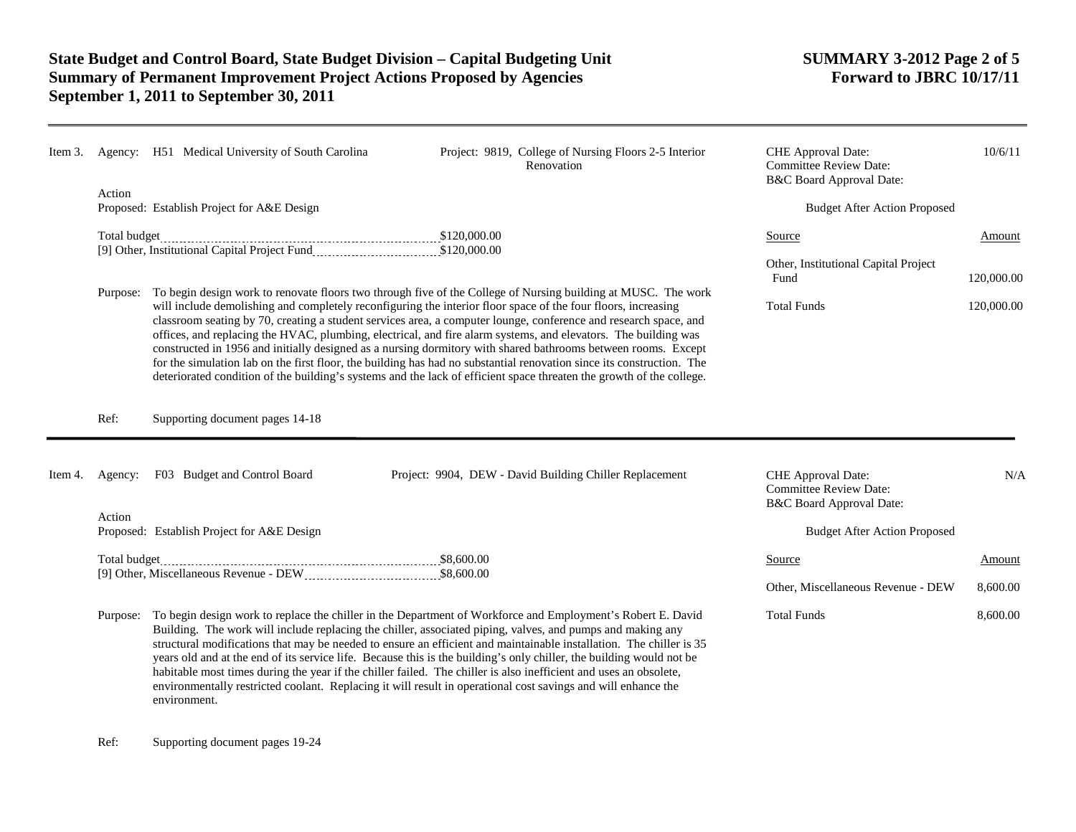| Item 3. |                                                                                                                                     | Agency: H51 Medical University of South Carolina                                                                                                                                                                                                                                                                                                                                                                                                                                                                                                                                                                                                                                                                                                                                                                                       | Project: 9819, College of Nursing Floors 2-5 Interior<br>Renovation                                                                                                                                                                                                                                                                                                                                                                                                                                                                                                                                    | CHE Approval Date:<br><b>Committee Review Date:</b><br>B&C Board Approval Date:            | 10/6/11                  |
|---------|-------------------------------------------------------------------------------------------------------------------------------------|----------------------------------------------------------------------------------------------------------------------------------------------------------------------------------------------------------------------------------------------------------------------------------------------------------------------------------------------------------------------------------------------------------------------------------------------------------------------------------------------------------------------------------------------------------------------------------------------------------------------------------------------------------------------------------------------------------------------------------------------------------------------------------------------------------------------------------------|--------------------------------------------------------------------------------------------------------------------------------------------------------------------------------------------------------------------------------------------------------------------------------------------------------------------------------------------------------------------------------------------------------------------------------------------------------------------------------------------------------------------------------------------------------------------------------------------------------|--------------------------------------------------------------------------------------------|--------------------------|
|         | Action                                                                                                                              | Proposed: Establish Project for A&E Design                                                                                                                                                                                                                                                                                                                                                                                                                                                                                                                                                                                                                                                                                                                                                                                             |                                                                                                                                                                                                                                                                                                                                                                                                                                                                                                                                                                                                        | <b>Budget After Action Proposed</b>                                                        |                          |
|         | Total budget<br>120,000.00 [9] Other, Institutional Capital Project Fund<br>20,000.00 [9] Other, Institutional Capital Project Fund |                                                                                                                                                                                                                                                                                                                                                                                                                                                                                                                                                                                                                                                                                                                                                                                                                                        |                                                                                                                                                                                                                                                                                                                                                                                                                                                                                                                                                                                                        | Source<br>Other, Institutional Capital Project<br>Fund                                     | Amount                   |
|         | Purpose:                                                                                                                            | To begin design work to renovate floors two through five of the College of Nursing building at MUSC. The work<br>will include demolishing and completely reconfiguring the interior floor space of the four floors, increasing<br>classroom seating by 70, creating a student services area, a computer lounge, conference and research space, and<br>offices, and replacing the HVAC, plumbing, electrical, and fire alarm systems, and elevators. The building was<br>constructed in 1956 and initially designed as a nursing dormitory with shared bathrooms between rooms. Except<br>for the simulation lab on the first floor, the building has had no substantial renovation since its construction. The<br>deteriorated condition of the building's systems and the lack of efficient space threaten the growth of the college. |                                                                                                                                                                                                                                                                                                                                                                                                                                                                                                                                                                                                        | <b>Total Funds</b>                                                                         | 120,000.00<br>120,000.00 |
|         | Ref:                                                                                                                                | Supporting document pages 14-18                                                                                                                                                                                                                                                                                                                                                                                                                                                                                                                                                                                                                                                                                                                                                                                                        |                                                                                                                                                                                                                                                                                                                                                                                                                                                                                                                                                                                                        |                                                                                            |                          |
| Item 4. | Agency:                                                                                                                             | F03 Budget and Control Board                                                                                                                                                                                                                                                                                                                                                                                                                                                                                                                                                                                                                                                                                                                                                                                                           | Project: 9904, DEW - David Building Chiller Replacement                                                                                                                                                                                                                                                                                                                                                                                                                                                                                                                                                | CHE Approval Date:<br><b>Committee Review Date:</b><br><b>B&amp;C Board Approval Date:</b> | N/A                      |
|         | Action                                                                                                                              | Proposed: Establish Project for A&E Design                                                                                                                                                                                                                                                                                                                                                                                                                                                                                                                                                                                                                                                                                                                                                                                             |                                                                                                                                                                                                                                                                                                                                                                                                                                                                                                                                                                                                        | <b>Budget After Action Proposed</b>                                                        |                          |
|         |                                                                                                                                     |                                                                                                                                                                                                                                                                                                                                                                                                                                                                                                                                                                                                                                                                                                                                                                                                                                        | Source                                                                                                                                                                                                                                                                                                                                                                                                                                                                                                                                                                                                 | Amount                                                                                     |                          |
|         |                                                                                                                                     |                                                                                                                                                                                                                                                                                                                                                                                                                                                                                                                                                                                                                                                                                                                                                                                                                                        |                                                                                                                                                                                                                                                                                                                                                                                                                                                                                                                                                                                                        | Other, Miscellaneous Revenue - DEW                                                         | 8,600.00                 |
|         |                                                                                                                                     |                                                                                                                                                                                                                                                                                                                                                                                                                                                                                                                                                                                                                                                                                                                                                                                                                                        | Purpose: To begin design work to replace the chiller in the Department of Workforce and Employment's Robert E. David<br>Building. The work will include replacing the chiller, associated piping, valves, and pumps and making any<br>structural modifications that may be needed to ensure an efficient and maintainable installation. The chiller is 35<br>years old and at the end of its service life. Because this is the building's only chiller, the building would not be<br>habitable most times during the year if the chiller failed. The chiller is also inefficient and uses an obsolete, | <b>Total Funds</b>                                                                         | 8,600.00                 |

environmentally restricted coolant. Replacing it will result in operational cost savings and will enhance the

Ref: Supporting document pages 19-24

environment.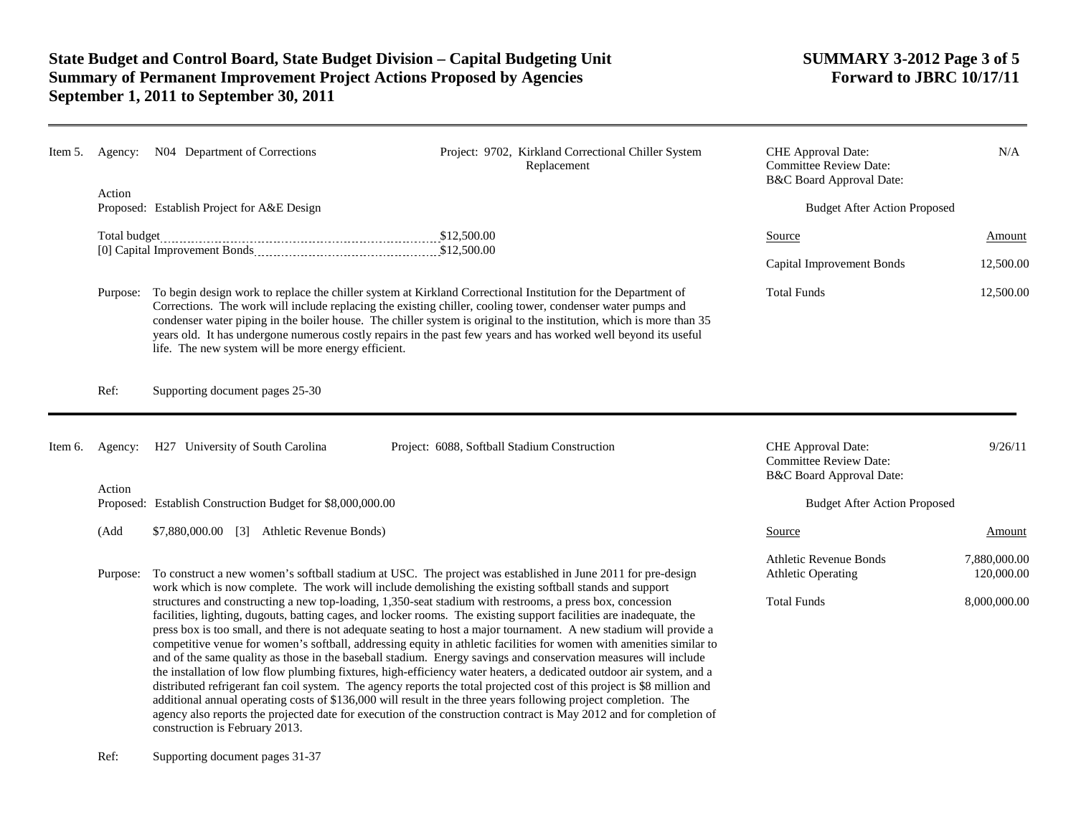## **State Budget and Control Board, State Budget Division – Capital Budgeting Unit SUMMARY 3-2012 Page 3 of 5 Summary of Permanent Improvement Project Actions Proposed by Agencies September 1, 2011 to September 30, 2011**

| Item 5. | Agency:  | N04 Department of Corrections                                                                                                                                                                                                                                                                                                                                                                                                                                                                                                                                                                                                                                                                                                                                                                                                                                                                                                                                                                                                                                                                                                                                                                                                                                                                                                                             | Project: 9702, Kirkland Correctional Chiller System<br>Replacement | CHE Approval Date:<br><b>Committee Review Date:</b><br>B&C Board Approval Date: | N/A                                 |  |
|---------|----------|-----------------------------------------------------------------------------------------------------------------------------------------------------------------------------------------------------------------------------------------------------------------------------------------------------------------------------------------------------------------------------------------------------------------------------------------------------------------------------------------------------------------------------------------------------------------------------------------------------------------------------------------------------------------------------------------------------------------------------------------------------------------------------------------------------------------------------------------------------------------------------------------------------------------------------------------------------------------------------------------------------------------------------------------------------------------------------------------------------------------------------------------------------------------------------------------------------------------------------------------------------------------------------------------------------------------------------------------------------------|--------------------------------------------------------------------|---------------------------------------------------------------------------------|-------------------------------------|--|
|         | Action   | Proposed: Establish Project for A&E Design                                                                                                                                                                                                                                                                                                                                                                                                                                                                                                                                                                                                                                                                                                                                                                                                                                                                                                                                                                                                                                                                                                                                                                                                                                                                                                                |                                                                    | <b>Budget After Action Proposed</b>                                             |                                     |  |
|         |          |                                                                                                                                                                                                                                                                                                                                                                                                                                                                                                                                                                                                                                                                                                                                                                                                                                                                                                                                                                                                                                                                                                                                                                                                                                                                                                                                                           |                                                                    | Source                                                                          | Amount                              |  |
|         |          |                                                                                                                                                                                                                                                                                                                                                                                                                                                                                                                                                                                                                                                                                                                                                                                                                                                                                                                                                                                                                                                                                                                                                                                                                                                                                                                                                           |                                                                    | Capital Improvement Bonds                                                       | 12,500.00                           |  |
|         | Purpose: | To begin design work to replace the chiller system at Kirkland Correctional Institution for the Department of<br>Corrections. The work will include replacing the existing chiller, cooling tower, condenser water pumps and<br>condenser water piping in the boiler house. The chiller system is original to the institution, which is more than 35<br>years old. It has undergone numerous costly repairs in the past few years and has worked well beyond its useful<br>life. The new system will be more energy efficient.                                                                                                                                                                                                                                                                                                                                                                                                                                                                                                                                                                                                                                                                                                                                                                                                                            |                                                                    | <b>Total Funds</b>                                                              | 12,500.00                           |  |
|         | Ref:     | Supporting document pages 25-30                                                                                                                                                                                                                                                                                                                                                                                                                                                                                                                                                                                                                                                                                                                                                                                                                                                                                                                                                                                                                                                                                                                                                                                                                                                                                                                           |                                                                    |                                                                                 |                                     |  |
| Item 6. |          | Agency: H27 University of South Carolina                                                                                                                                                                                                                                                                                                                                                                                                                                                                                                                                                                                                                                                                                                                                                                                                                                                                                                                                                                                                                                                                                                                                                                                                                                                                                                                  | Project: 6088, Softball Stadium Construction                       | CHE Approval Date:<br><b>Committee Review Date:</b><br>B&C Board Approval Date: | 9/26/11                             |  |
|         | Action   | Proposed: Establish Construction Budget for \$8,000,000.00                                                                                                                                                                                                                                                                                                                                                                                                                                                                                                                                                                                                                                                                                                                                                                                                                                                                                                                                                                                                                                                                                                                                                                                                                                                                                                |                                                                    |                                                                                 | <b>Budget After Action Proposed</b> |  |
|         | (Add     | \$7,880,000.00 [3] Athletic Revenue Bonds)                                                                                                                                                                                                                                                                                                                                                                                                                                                                                                                                                                                                                                                                                                                                                                                                                                                                                                                                                                                                                                                                                                                                                                                                                                                                                                                |                                                                    | Source                                                                          | Amount                              |  |
|         | Purpose: | To construct a new women's softball stadium at USC. The project was established in June 2011 for pre-design<br>work which is now complete. The work will include demolishing the existing softball stands and support<br>structures and constructing a new top-loading, 1,350-seat stadium with restrooms, a press box, concession<br>facilities, lighting, dugouts, batting cages, and locker rooms. The existing support facilities are inadequate, the<br>press box is too small, and there is not adequate seating to host a major tournament. A new stadium will provide a<br>competitive venue for women's softball, addressing equity in athletic facilities for women with amenities similar to<br>and of the same quality as those in the baseball stadium. Energy savings and conservation measures will include<br>the installation of low flow plumbing fixtures, high-efficiency water heaters, a dedicated outdoor air system, and a<br>distributed refrigerant fan coil system. The agency reports the total projected cost of this project is \$8 million and<br>additional annual operating costs of \$136,000 will result in the three years following project completion. The<br>agency also reports the projected date for execution of the construction contract is May 2012 and for completion of<br>construction is February 2013. |                                                                    | <b>Athletic Revenue Bonds</b><br><b>Athletic Operating</b>                      | 7,880,000.00<br>120,000.00          |  |
|         |          |                                                                                                                                                                                                                                                                                                                                                                                                                                                                                                                                                                                                                                                                                                                                                                                                                                                                                                                                                                                                                                                                                                                                                                                                                                                                                                                                                           |                                                                    | <b>Total Funds</b>                                                              | 8,000,000.00                        |  |

Ref: Supporting document pages 31-37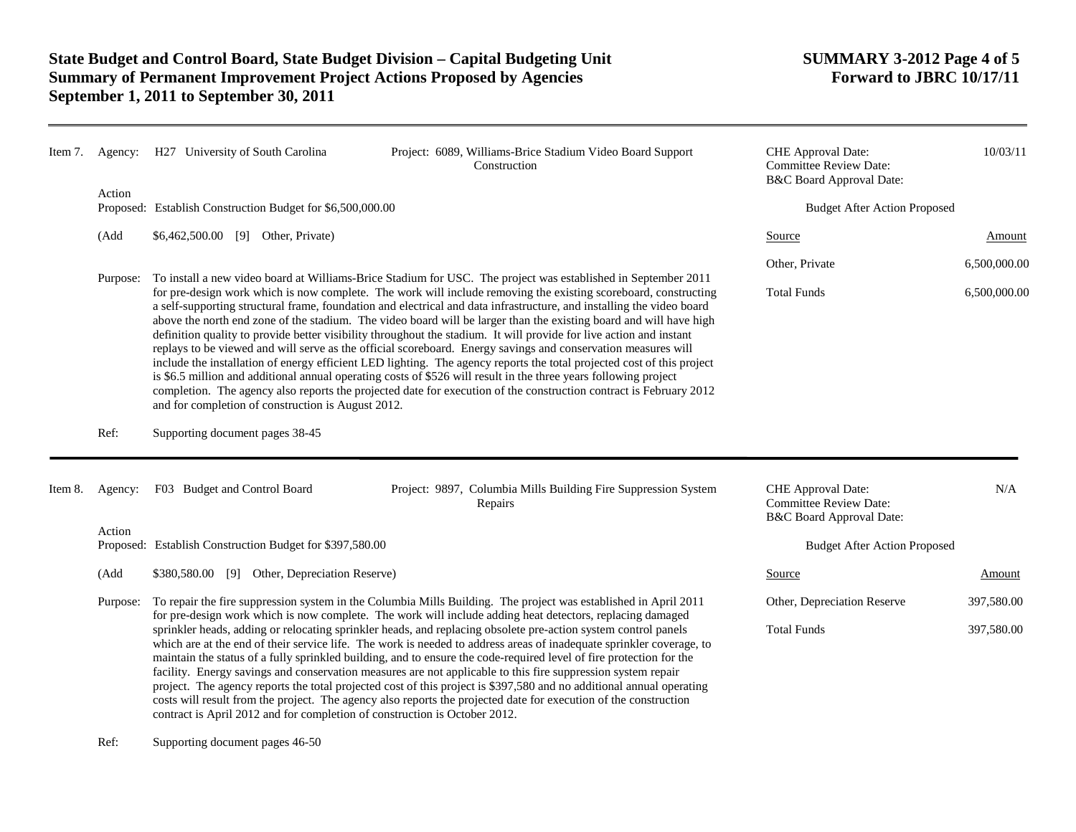| Item 7. |          | Agency: H27 University of South Carolina                                                                                                                                                                                                                                                                                                                                                                                                                                                                                                                                                                                                                                                                                                                                                                                                                                                                                                                                                                                                                                                                                                          | Project: 6089, Williams-Brice Stadium Video Board Support<br>Construction                                       | <b>CHE</b> Approval Date:<br><b>Committee Review Date:</b><br>B&C Board Approval Date: | 10/03/11                            |  |
|---------|----------|---------------------------------------------------------------------------------------------------------------------------------------------------------------------------------------------------------------------------------------------------------------------------------------------------------------------------------------------------------------------------------------------------------------------------------------------------------------------------------------------------------------------------------------------------------------------------------------------------------------------------------------------------------------------------------------------------------------------------------------------------------------------------------------------------------------------------------------------------------------------------------------------------------------------------------------------------------------------------------------------------------------------------------------------------------------------------------------------------------------------------------------------------|-----------------------------------------------------------------------------------------------------------------|----------------------------------------------------------------------------------------|-------------------------------------|--|
|         | Action   | Proposed: Establish Construction Budget for \$6,500,000.00                                                                                                                                                                                                                                                                                                                                                                                                                                                                                                                                                                                                                                                                                                                                                                                                                                                                                                                                                                                                                                                                                        |                                                                                                                 |                                                                                        | <b>Budget After Action Proposed</b> |  |
|         | (Add     | \$6,462,500.00 [9] Other, Private)                                                                                                                                                                                                                                                                                                                                                                                                                                                                                                                                                                                                                                                                                                                                                                                                                                                                                                                                                                                                                                                                                                                |                                                                                                                 | Source                                                                                 | Amount                              |  |
|         |          | To install a new video board at Williams-Brice Stadium for USC. The project was established in September 2011<br>for pre-design work which is now complete. The work will include removing the existing scoreboard, constructing<br>a self-supporting structural frame, foundation and electrical and data infrastructure, and installing the video board<br>above the north end zone of the stadium. The video board will be larger than the existing board and will have high<br>definition quality to provide better visibility throughout the stadium. It will provide for live action and instant<br>replays to be viewed and will serve as the official scoreboard. Energy savings and conservation measures will<br>include the installation of energy efficient LED lighting. The agency reports the total projected cost of this project<br>is \$6.5 million and additional annual operating costs of \$526 will result in the three years following project<br>completion. The agency also reports the projected date for execution of the construction contract is February 2012<br>and for completion of construction is August 2012. |                                                                                                                 | Other, Private                                                                         | 6,500,000.00                        |  |
|         | Purpose: |                                                                                                                                                                                                                                                                                                                                                                                                                                                                                                                                                                                                                                                                                                                                                                                                                                                                                                                                                                                                                                                                                                                                                   |                                                                                                                 | <b>Total Funds</b>                                                                     | 6,500,000.00                        |  |
|         | Ref:     | Supporting document pages 38-45                                                                                                                                                                                                                                                                                                                                                                                                                                                                                                                                                                                                                                                                                                                                                                                                                                                                                                                                                                                                                                                                                                                   |                                                                                                                 |                                                                                        |                                     |  |
| Item 8. | Agency:  | F03 Budget and Control Board                                                                                                                                                                                                                                                                                                                                                                                                                                                                                                                                                                                                                                                                                                                                                                                                                                                                                                                                                                                                                                                                                                                      | Project: 9897, Columbia Mills Building Fire Suppression System<br>Repairs                                       | CHE Approval Date:<br><b>Committee Review Date:</b><br>B&C Board Approval Date:        | N/A                                 |  |
|         | Action   | Proposed: Establish Construction Budget for \$397,580.00                                                                                                                                                                                                                                                                                                                                                                                                                                                                                                                                                                                                                                                                                                                                                                                                                                                                                                                                                                                                                                                                                          |                                                                                                                 | <b>Budget After Action Proposed</b>                                                    |                                     |  |
|         | (Add     | \$380,580.00 [9] Other, Depreciation Reserve)                                                                                                                                                                                                                                                                                                                                                                                                                                                                                                                                                                                                                                                                                                                                                                                                                                                                                                                                                                                                                                                                                                     |                                                                                                                 | Source                                                                                 | Amount                              |  |
|         | Purpose: |                                                                                                                                                                                                                                                                                                                                                                                                                                                                                                                                                                                                                                                                                                                                                                                                                                                                                                                                                                                                                                                                                                                                                   | To repair the fire suppression system in the Columbia Mills Building. The project was established in April 2011 | Other, Depreciation Reserve                                                            | 397,580.00                          |  |
|         |          | for pre-design work which is now complete. The work will include adding heat detectors, replacing damaged<br>sprinkler heads, adding or relocating sprinkler heads, and replacing obsolete pre-action system control panels<br>which are at the end of their service life. The work is needed to address areas of inadequate sprinkler coverage, to<br>maintain the status of a fully sprinkled building, and to ensure the code-required level of fire protection for the<br>facility. Energy savings and conservation measures are not applicable to this fire suppression system repair<br>project. The agency reports the total projected cost of this project is \$397,580 and no additional annual operating<br>costs will result from the project. The agency also reports the projected date for execution of the construction<br>contract is April 2012 and for completion of construction is October 2012.                                                                                                                                                                                                                              |                                                                                                                 | <b>Total Funds</b>                                                                     | 397,580.00                          |  |

Ref: Supporting document pages 46-50